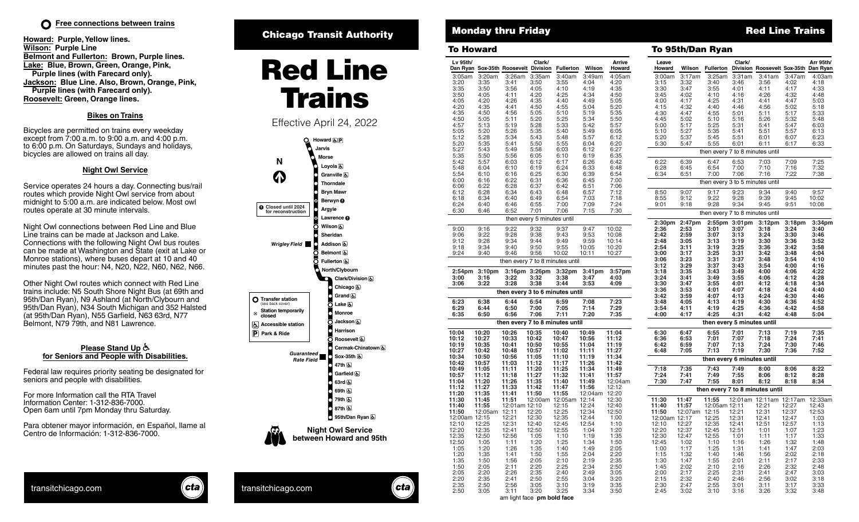**Howard: Purple, Yellow lines. Wilson: Purple Line Belmont and Fullerton: Brown, Purple lines. Lake: Blue, Brown, Green, Orange, Pink, Purple lines (with Farecard only). Jackson: Blue Line. Also, Brown, Orange, Pink, Purple lines (with Farecard only). Roosevelt: Green, Orange lines.**

## **Bikes on Trains**

Bicycles are permitted on trains every weekday except from 7:00 a.m. to 9:00 a.m. and 4:00 p.m. to 6:00 p.m. On Saturdays, Sundays and holidays, bicycles are allowed on trains all day.

## **Night Owl Service**

Service operates 24 hours a day. Connecting bus/rail routes which provide Night Owl service from about midnight to 5:00 a.m. are indicated below. Most owl routes operate at 30 minute intervals.

Night Owl connections between Red Line and Blue Line trains can be made at Jackson and Lake. Connections with the following Night Owl bus routes can be made at Washington and State (exit at Lake or Monroe stations), where buses depart at 10 and 40 minutes past the hour: N4, N20, N22, N60, N62, N66.

Other Night Owl routes which connect with Red Line trains include: N5 South Shore Night Bus (at 69th and 95th/Dan Ryan), N9 Ashland (at North/Clybourn and 95th/Dan Ryan), N34 South Michigan and 352 Halsted (at 95th/Dan Ryan), N55 Garfield, N63 63rd, N77 Belmont, N79 79th, and N81 Lawrence.

### **Please Stand Up for Seniors and People with Disabilities.**

Federal law requires priority seating be designated for seniors and people with disabilities.

For more Information call the RTA Travel Information Center: 1-312-836-7000. Open 6am until 7pm Monday thru Saturday.

Para obtener mayor información, en Español, llame al Centro de Información: 1-312-836-7000.

# Chicago Transit Authority **Monday thru Friday** Monday **Red Line Trains**



Effective April 24, 2022



| londav | thru | LITOE V |
|--------|------|---------|
|        |      |         |

 $\overline{\phantom{a}}$ 

| To Howard      |                     |                                      |                                    |                                 |                        |                    |                    |               | To 95th/Dan Ryan                |               |                                 |                    |
|----------------|---------------------|--------------------------------------|------------------------------------|---------------------------------|------------------------|--------------------|--------------------|---------------|---------------------------------|---------------|---------------------------------|--------------------|
| Lv 95th/       |                     | Dan Ryan Sox-35th Roosevelt Division | Clark/                             | <b>Fullerton</b>                | Wilson                 | Arrive<br>Howard   | Leave<br>Howard    | Wilson        | Fullerton                       | Clark/        | Division Roosevelt Sox-35th     |                    |
| 3:05am         | 3:20am              |                                      | 3:26am 3:35am                      | 3:40am                          | 3:49am                 | 4:05am             | 3:00am             | 3:17am        | 3:25am                          | 3:31am        | 3:41am                          | 3:47am             |
| 3:20           | 3:35                | 3:41                                 | 3:50                               | 3:55                            | 4:04                   | 4:20               | 3:15               | 3:32          | 3:40                            | 3:46          | 3:56                            | 4:02               |
| 3:35<br>3:50   | 3:50<br>4:05        | 3:56<br>4:11                         | 4:05<br>4:20                       | 4:10<br>4:25                    | 4:19<br>4:34           | 4:35<br>4:50       | 3:30<br>3:45       | 3:47<br>4:02  | 3:55<br>4:10                    | 4:01<br>4:16  | 4:11<br>4:26                    | 4:17<br>4:32       |
| 4:05           | 4:20                | 4:26                                 | 4:35                               | 4:40                            | 4:49                   | 5:05               | 4:00               | 4:17          | 4:25                            | 4:31          | 4:41                            | 4:47               |
| 4:20           | 4:35                | 4:41                                 | 4:50                               | 4:55                            | 5:04                   | 5:20               | 4:15               | 4:32          | 4:40                            | 4:46          | 4:56                            | 5:02               |
| 4:35           | 4:50                | 4:56                                 | 5:05                               | 5:10                            | 5:19                   | 5:35               | 4:30               | 4:47          | 4:55                            | 5:01          | 5:11                            | 5:17               |
| 4:50           | 5:05                | 5:11                                 | 5:20                               | 5:25                            | 5:34                   | 5:50               | 4:45               | 5:02          | 5:10                            | 5:16          | 5:26                            | 5:32               |
| 4:57           | 5:13                | 5:19                                 | 5:28                               | 5:33                            | 5:42                   | 5:57               | 5:00               | 5:17          | 5:25                            | 5:31          | 5:41                            | 5:47               |
| 5:05           | 5:20                | 5:26                                 | 5:35                               | 5:40                            | 5:49                   | 6:05               | 5:10               | 5:27          | 5:35                            | 5:41          | 5:51                            | 5:57               |
| 5:12           | 5:28                | 5:34                                 | 5:43                               | 5:48                            | 5:57                   | 6:12               | 5:20               | 5:37          | 5:45                            | 5:51          | 6:01                            | 6:07               |
| 5:20           | 5:35                | 5:41                                 | 5:50                               | 5:55                            | 6:04                   | 6:20               | 5:30               | 5:47          | 5:55                            | 6:01          | 6:11                            | 6:17               |
| 5:27           | 5:43                | 5:49                                 | 5:58                               | 6:03                            | 6:12                   | 6:27               |                    |               | then every 7 to 8 minutes until |               |                                 |                    |
| 5:35<br>5:42   | 5:50<br>5:57        | 5:56<br>6:03                         | 6:05<br>6:12                       | 6:10<br>6:17                    | 6:19<br>6:26           | 6:35<br>6:42       | 6:22               | 6:39          | 6:47                            | 6:53          | 7:03                            | 7:09               |
| 5:48           | 6:04                | 6:10                                 | 6:19                               | 6:24                            | 6:33                   | 6:48               | 6:28               | 6:45          | 6:54                            | 7:00          | 7:10                            | 7:16               |
| 5:54           | 6:10                | 6:16                                 | 6:25                               | 6:30                            | 6:39                   | 6:54               | 6:34               | 6:51          | 7:00                            | 7:06          | 7:16                            | 7:22               |
| 6:00           | 6:16                | 6:22                                 | 6:31                               | 6:36                            | 6:45                   | 7:00               |                    |               | then every 3 to 5 minutes until |               |                                 |                    |
| 6:06           | 6:22                | 6:28                                 | 6:37                               | 6:42                            | 6:51                   | 7:06               |                    |               |                                 |               |                                 |                    |
| 6:12           | 6:28                | 6:34                                 | 6:43                               | 6:48                            | 6:57                   | 7:12               | 8:50               | 9:07          | 9:17                            | 9:23          | 9:34                            | 9:40               |
| 6:18           | 6:34                | 6:40                                 | 6:49                               | 6:54                            | 7:03                   | 7:18               | 8:55               | 9:12          | 9:22                            | 9:28          | 9:39                            | 9:45               |
| 6:24           | 6:40                | 6:46                                 | 6:55                               | 7:00                            | 7:09                   | 7:24               | 9:01               | 9:18          | 9:28                            | 9:34          | 9:45                            | 9:51               |
| 6:30           | 6:46                | 6:52                                 | 7:01<br>then every 5 minutes until | 7:06                            | 7:15                   | 7:30               |                    |               | then every 7 to 8 minutes until |               |                                 |                    |
|                |                     |                                      |                                    |                                 |                        |                    | 2:30 <sub>pm</sub> | 2:47pm        |                                 | 2:55pm 3:01pm | 3:12 <sub>pm</sub>              | 3:18 <sub>pm</sub> |
| 9:00           | 9:16                | 9:22                                 | 9:32                               | 9:37                            | 9:47                   | 10:02              | 2:36               | 2:53          | 3:01                            | 3:07          | 3:18                            | 3:24               |
| 9:06           | 9:22                | 9:28                                 | 9:38                               | 9:43                            | 9:53                   | 10:08              | 2:42               | 2:59          | 3:07                            | 3:13          | 3:24                            | 3:30               |
| 9:12<br>9:18   | 9:28<br>9:34        | 9:34<br>9:40                         | 9:44<br>9:50                       | 9:49                            | 9:59<br>10:05          | 10:14<br>10:20     | 2:48<br>2:54       | 3:05<br>3:11  | 3:13<br>3:19                    | 3:19<br>3:25  | 3:30<br>3:36                    | 3:36<br>3:42       |
| 9:24           | 9:40                | 9:46                                 | 9:56                               | 9:55<br>10:02                   | 10:11                  | 10:27              | 3:00               | 3:17          | 3:25                            | 3:31          | 3:42                            | 3:48               |
|                |                     |                                      |                                    |                                 |                        |                    | 3:06               | 3:23          | 3:31                            | 3:37          | 3:48                            | 3:54               |
|                |                     |                                      |                                    | then every 7 to 8 minutes until |                        |                    | 3:12               | 3:29          | 3:37                            | 3:43          | 3:54                            | 4:00               |
|                | $2:54$ pm $3:10$ pm |                                      | $3:16$ pm $3:26$ pm                | 3:32 <sub>pm</sub>              | 3:41pm                 | 3:57 <sub>pm</sub> | 3:18               | 3:35          | 3:43                            | 3:49          | 4:00                            | 4:06               |
| 3:00           | 3:16                | 3:22                                 | 3:32                               | 3:38                            | 3:47                   | 4:03               | 3:24               | 3:41          | 3:49                            | 3:55          | 4:06                            | 4:12               |
| 3:06           | 3:22                | 3:28                                 | 3:38                               | 3:44                            | 3:53                   | 4:09               | 3:30               | 3:47          | 3:55                            | 4:01          | 4:12                            | 4:18               |
|                |                     |                                      |                                    | then every 3 to 6 minutes until |                        |                    | 3:36<br>3:42       | 3:53<br>3:59  | 4:01<br>4:07                    | 4:07<br>4:13  | 4:18<br>4:24                    | 4:24<br>4:30       |
| 6:23           | 6:38                | 6:44                                 | 6:54                               | 6:59                            | 7:08                   | 7:23               | 3:48               | 4:05          | 4:13                            | 4:19          | 4:30                            | 4:36               |
| 6:29<br>6:35   | 6:44<br>6:50        | 6:50<br>6:56                         | 7:00<br>7:06                       | 7:05<br>7:11                    | 7:14<br>7:20           | 7:29<br>7:35       | 3:54<br>4:00       | 4:11<br>4:17  | 4:19<br>4:25                    | 4:25<br>4:31  | 4:36<br>4:42                    | 4:42<br>4:48       |
|                |                     |                                      |                                    | then every 7 to 8 minutes until |                        |                    |                    |               | then every 5 minutes until      |               |                                 |                    |
| 10:04          | 10:20               | 10:26                                | 10:35                              | 10:40                           | 10:49                  | 11:04              | 6:30               | 6:47          | 6:55                            | 7:01          | 7:13                            | 7:19               |
| 10:12          | 10:27               | 10:33                                | 10:42                              | 10:47                           | 10:56                  | 11:12              | 6:36               | 6:53          | 7:01                            | 7:07          | 7:18                            | 7:24               |
| 10:19          | 10:35               | 10:41                                | 10:50                              | 10:55                           | 11:04                  | 11:19              | 6:42               | 6:59          | 7:07                            | 7:13          | 7:24                            | 7:30               |
| 10:27          | 10:42               | 10:48                                | 10:57                              | 11:02                           | 11:11                  | 11:27              | 6:48               | 7:05          | 7:13                            | 7:19          | 7:30                            | 7:36               |
| 10:34<br>10:42 | 10:50<br>10:57      | 10:56<br>11:03                       | 11:05<br>11:12                     | 11:10<br>11:17                  | 11:19<br>11:26         | 11:34<br>11:42     |                    |               | then every 6 minutes until      |               |                                 |                    |
| 10:49          | 11:05               | 11:11                                | 11:20                              | 11:25                           | 11:34                  | 11:49              | 7:18               | 7:35          | 7:43                            | 7:49          | 8:00                            | 8:06               |
| 10:57          | 11:12               | 11:18                                | 11:27                              | 11:32                           | 11:41                  | 11:57              | 7:24               | 7:41          | 7:49                            | 7:55          | 8:06                            | 8:12               |
| 11:04          | 11:20               | 11:26                                | 11:35                              | 11:40                           | 11:49                  | 12:04am            | 7:30               | 7:47          | 7:55                            | 8:01          | 8:12                            | 8:18               |
| 11:12          | 11:27               | 11:33                                | 11:42                              | 11:47                           | 11:56<br>12:04am 12:20 | 12:12              |                    |               |                                 |               | then every 7 to 8 minutes until |                    |
| 11:20<br>11:30 | 11:35<br>11:45      | 11:41<br>11:51                       | 11:50                              | 11:55<br>12:00am 12:05am 12:14  |                        | 12:30              | 11:30              | 11:47         | 11:55                           |               | 12:01am 12:11am 12:17am         |                    |
| 11:40          | 11:55               | 12:01am 12:10                        |                                    | 12:15                           | 12:24                  | 12:40              | 11:40              | 11:57         | 12:05am 12:11                   |               | 12:21                           | 12:27              |
| 11:50          | 12:05am 12:11       |                                      | 12:20                              | 12:25                           | 12:34                  | 12:50              | 11:50              | 12:07am 12:15 |                                 | 12:21         | 12:31                           | 12:37              |
| 12:00am 12:15  |                     | 12:21                                | 12:30                              | 12:35                           | 12:44                  | 1:00               | 12:00am 12:17      |               | 12:25                           | 12:31         | 12:41                           | 12:47              |
| 12:10          | 12:25               | 12:31                                | 12:40                              | 12:45                           | 12:54                  | 1:10               | 12:10              | 12:27         | 12:35                           | 12:41         | 12:51                           | 12:57              |
| 12:20          | 12:35               | 12:41                                | 12:50                              | 12:55                           | 1:04                   | 1:20               | 12:20              | 12:37         | 12:45                           | 12:51         | 1:01                            | 1:07               |
| 12:35          | 12:50               | 12:56                                | 1:05                               | 1:10                            | 1:19                   | 1:35               | 12:30              | 12:47         | 12:55                           | 1:01          | 1:11                            | 1:17               |
| 12:50          | 1:05                | 1:11                                 | 1:20                               | 1:25                            | 1:34                   | 1:50               | 12:45              | 1:02          | 1:10                            | 1:16          | 1:26                            | 1:32               |
| 1:05           | 1:20                | 1:26                                 | 1:35                               | 1:40                            | 1:49                   | 2:05               | 1:00               | 1:17          | 1:25                            | 1:31          | 1:41                            | 1:47               |
| 1:20           | 1:35                | 1:41                                 | 1:50                               | 1:55                            | 2:04                   | 2:20               | 1:15               | 1:32          | 1:40                            | 1:46          | 1:56                            | 2:02               |
| 1:35           | 1:50                | 1:56                                 | 2:05                               | 2:10                            | 2:19                   | 2:35               | 1:30               | 1:47          | 1:55                            | 2:01          | 2:11                            | 2:17               |
| 1:50           | 2:05<br>2:20        | 2:11                                 | 2:20<br>2:35                       | 2:25<br>2:40                    | 2:34                   | 2:50               | 1:45<br>2:00       | 2:02<br>2:17  | 2:10<br>2:25                    | 2:16<br>2:31  | 2:26<br>2:41                    | 2:32<br>2:47       |
| 2:05<br>2:20   | 2:35                | 2:26<br>2:41                         | 2:50                               | 2:55                            | 2:49<br>3:04           | 3:05<br>3:20       | 2:15               | 2:32          | 2:40                            | 2:46          | 2:56                            | 3:02               |
| 2:35           | 2:50                | 2:56                                 | 3:05                               | 3:10                            | 3:19                   | 3:35               | 2:30               | 2:47          | 2:55                            | 3:01          | 3:11                            | 3:17               |
| 2:50           | 3:05                | 3:11                                 | 3:20                               | 3:25                            | 3:34                   | 3:50               | 2:45               | 3:02          | 3:10                            | 3:16          | 3:26                            | 3:32               |
|                |                     | am light face <b>pm bold face</b>    |                                    |                                 |                        |                    |                    |               |                                 |               |                                 |                    |

|                        |                | To 95th/Dan Ryan                        |                |                                      |                |                |
|------------------------|----------------|-----------------------------------------|----------------|--------------------------------------|----------------|----------------|
| Leave<br>Howard        | Wilson         | <b>Fullerton</b>                        | Clark/         | Division Roosevelt Sox-35th Dan Ryan |                | Arr 95th/      |
| 3:00am                 | 3:17am         | 3:25am                                  | 3:31am         | 3:41am                               | 3:47am         | 4:03am         |
| 3:15<br>3:30           | 3:32<br>3:47   | 3:40<br>3:55                            | 3:46<br>4:01   | 3:56<br>4:11                         | 4:02<br>4:17   | 4:18<br>4:33   |
| 3:45                   | 4:02           | 4:10                                    | 4:16           | 4:26                                 | 4:32           | 4:48           |
| 4:00                   | 4:17           | 4:25                                    | 4:31           | 4:41                                 | 4:47           | 5:03           |
| 4:15                   | 4:32           | 4:40                                    | 4:46           | 4:56                                 | 5:02           | 5:18           |
| 4:30<br>4:45           | 4:47<br>5:02   | 4:55<br>5:10                            | 5:01<br>5:16   | 5:11<br>5:26                         | 5:17<br>5:32   | 5:33<br>5:48   |
| 5:00                   | 5:17           | 5:25                                    | 5:31           | 5:41                                 | 5:47           | 6:03           |
| 5:10                   | 5:27           | 5:35                                    | 5:41           | 5:51                                 | 5:57           | 6:13           |
| 5:20                   | 5:37           | 5:45                                    | 5:51           | 6:01                                 | 6:07           | 6:23           |
| 5:30                   | 5:47           | 5:55                                    | 6:01           | 6:11                                 | 6:17           | 6:33           |
|                        |                | then every 7 to 8 minutes until         |                |                                      |                |                |
| 6:22<br>6:28           | 6:39<br>6:45   | 6:47<br>6:54                            | 6:53<br>7:00   | 7:03<br>7:10                         | 7:09<br>7:16   | 7:25<br>7:32   |
| 6:34                   | 6:51           | 7:00                                    | 7:06           | 7:16                                 | 7:22           | 7:38           |
|                        |                | then every 3 to 5 minutes until         |                |                                      |                |                |
| 8:50                   | 9:07           | 9:17                                    | 9:23           | 9:34                                 | 9:40           | 9:57           |
| 8:55                   | 9:12           | 9:22                                    | 9:28           | 9:39                                 | 9:45           | 10:02          |
| 9:01                   | 9:18           | 9:28<br>then every 7 to 8 minutes until | 9:34           | 9:45                                 | 9:51           | 10:08          |
|                        |                |                                         |                |                                      |                |                |
| 2:30pm<br>2:36         | 2:47pm<br>2:53 | 2:55pm<br>3:01                          | 3:01pm<br>3:07 | 3:12pm<br>3:18                       | 3:18pm<br>3:24 | 3:34pm<br>3:40 |
| 2:42                   | 2:59           | 3:07                                    | 3:13           | 3:24                                 | 3:30           | 3:46           |
| 2:48                   | 3:05           | 3:13                                    | 3:19           | 3:30                                 | 3:36           | 3:52           |
| 2:54<br>3:00           | 3:11<br>3:17   | 3:19<br>3:25                            | 3:25<br>3:31   | 3:36<br>3:42                         | 3:42<br>3:48   | 3:58<br>4:04   |
| 3:06                   | 3:23           | 3:31                                    | 3:37           | 3:48                                 | 3:54           | 4:10           |
| 3:12                   | 3:29           | 3:37                                    | 3:43           | 3:54                                 | 4:00           | 4:16           |
| 3:18                   | 3:35           | 3:43                                    | 3:49           | 4:00                                 | 4:06           | 4:22           |
| 3:24<br>3:30           | 3:41<br>3:47   | 3:49<br>3:55                            | 3:55           | 4:06<br>4:12                         | 4:12<br>4:18   | 4:28<br>4:34   |
| 3:36                   | 3:53           | 4:01                                    | 4:01<br>4:07   | 4:18                                 | 4:24           | 4:40           |
| 3:42                   | 3:59           | 4:07                                    | 4:13           | 4:24                                 | 4:30           | 4:46           |
| 3:48                   | 4:05           | 4:13                                    | 4:19           | 4:30                                 | 4:36           | 4:52           |
| 3:54<br>4:00           | 4:11<br>4:17   | 4:19<br>4:25                            | 4:25<br>4:31   | 4:36<br>4:42                         | 4:42<br>4:48   | 4:58           |
|                        |                | then every 5 minutes until              |                |                                      |                | 5:04           |
|                        | 6:47           | 6:55                                    | 7:01           | 7:13                                 |                | 7:35           |
| 6:30<br>6:36           | 6:53           | 7:01                                    | 7:07           | 7:18                                 | 7:19<br>7:24   | 7:41           |
| 6:42                   | 6:59           | 7:07                                    | 7:13           | 7:24                                 | 7:30           | 7:46           |
| 6:48                   | 7:05           | 7:13                                    | 7:19           | 7:30                                 | 7:36           | 7:52           |
|                        |                | then every 6 minutes until              |                |                                      |                |                |
| 7:18                   | 7:35           | 7:43                                    | 7:49           | 8:00                                 | 8:06           | 8:22           |
| 7:24<br>7:30           | 7:41<br>7:47   | 7:49<br>7:55                            | 7:55<br>8:01   | 8:06<br>8:12                         | 8:12<br>8:18   | 8:28<br>8:34   |
|                        |                |                                         |                | then every 7 to 8 minutes until      |                |                |
| 11:30                  | 11:47          | 11:55                                   | 12:01am        | 12:11am                              | 12:17am        | 12:33am        |
| 11:40                  | 11:57          | 12:05am 12:11                           |                | 12:21                                | 12:27          | 12:43          |
| 11:50                  | 12:07am        | 12:15                                   | 12:21          | 12:31                                | 12:37          | 12:53          |
| 12:00am 12:17<br>12:10 | 12:27          | 12:25<br>12:35                          | 12:31<br>12:41 | 12:41<br>12:51                       | 12:47<br>12:57 | 1:03<br>1:13   |
| 12:20                  | 12:37          | 12:45                                   | 12:51          | 1:01                                 | 1:07           | 1:23           |
| 12:30                  | 12:47          | 12:55<br>1:10                           | 1:01           | 1:11                                 | 1:17           | 1:33           |
| 12:45                  | 1:02           |                                         | 1:16<br>1:31   | 1:26                                 | 1:32           | 1:48           |
| 1:00<br>1:15           | 1:17<br>1:32   | 1:25<br>1:40                            | 1:46           | 1:41<br>1:56                         | 1:47<br>2:02   | 2:03<br>2:18   |
| 1:30                   | 1:47           | 1:55                                    | 2:01           | 2:11                                 | 2:17           | 2:33           |
| 1:45                   | 2:02           | 2:10                                    | 2:16           | 2:26                                 | 2:32           | 2:48           |
| 2:00                   | 2:17           | 2:25                                    | 2:31           | 2:41                                 | 2:47           | 3:03           |
| 2:15<br>2:30           | 2:32<br>2:47   | 2:40<br>2:55                            | 2:46<br>3:01   | 2:56<br>3:11                         | 3:02<br>3:17   | 3:18<br>3:33   |
| 2.45                   | 3:02           | 3:10                                    | 3:16           | 3.26                                 | 3:32           | 3:48           |

transitchicago.com **(cta)** transitchicago.com



cta.